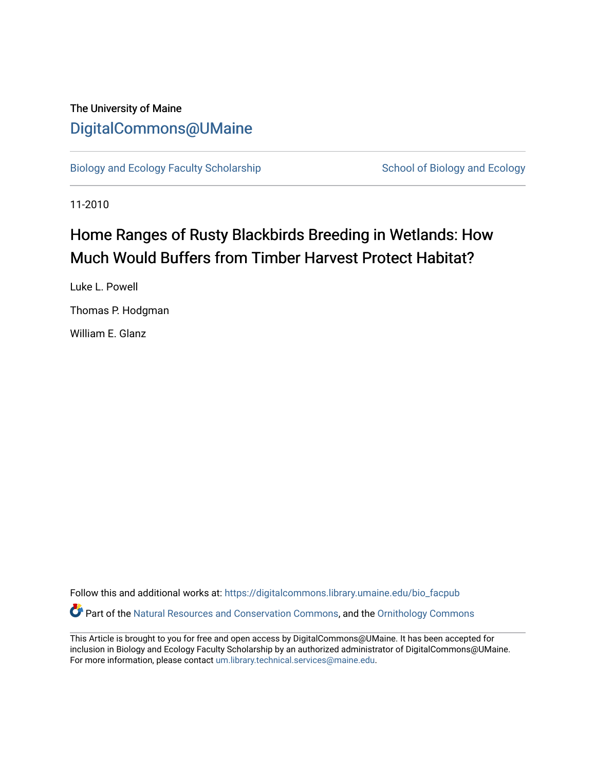# The University of Maine [DigitalCommons@UMaine](https://digitalcommons.library.umaine.edu/)

[Biology and Ecology Faculty Scholarship](https://digitalcommons.library.umaine.edu/bio_facpub) [School of Biology and Ecology](https://digitalcommons.library.umaine.edu/bio) and Ecology

11-2010

# Home Ranges of Rusty Blackbirds Breeding in Wetlands: How Much Would Buffers from Timber Harvest Protect Habitat?

Luke L. Powell Thomas P. Hodgman William E. Glanz

Follow this and additional works at: [https://digitalcommons.library.umaine.edu/bio\\_facpub](https://digitalcommons.library.umaine.edu/bio_facpub?utm_source=digitalcommons.library.umaine.edu%2Fbio_facpub%2F11&utm_medium=PDF&utm_campaign=PDFCoverPages)  Part of the [Natural Resources and Conservation Commons,](http://network.bepress.com/hgg/discipline/168?utm_source=digitalcommons.library.umaine.edu%2Fbio_facpub%2F11&utm_medium=PDF&utm_campaign=PDFCoverPages) and the [Ornithology Commons](http://network.bepress.com/hgg/discipline/1190?utm_source=digitalcommons.library.umaine.edu%2Fbio_facpub%2F11&utm_medium=PDF&utm_campaign=PDFCoverPages) 

This Article is brought to you for free and open access by DigitalCommons@UMaine. It has been accepted for inclusion in Biology and Ecology Faculty Scholarship by an authorized administrator of DigitalCommons@UMaine. For more information, please contact [um.library.technical.services@maine.edu](mailto:um.library.technical.services@maine.edu).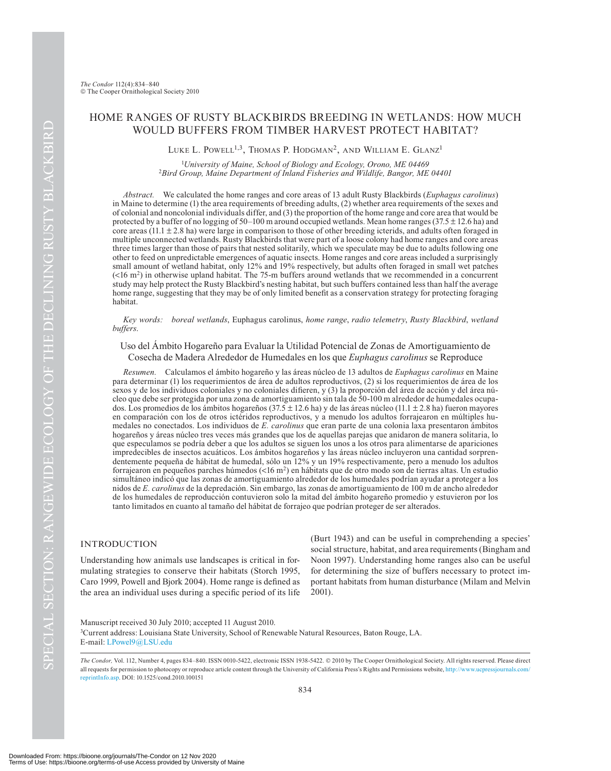# HOME RANGES OF RUSTY BLACKBIRDS BREEDING IN WETLANDS: HOW MUCH WOULD BUFFERS FROM TIMBER HARVEST PROTECT HABITAT?

LUKE L. POWELL<sup>1,3</sup>, THOMAS P. HODGMAN<sup>2</sup>, AND WILLIAM E. GLANZ<sup>1</sup>

<sup>1</sup>University of Maine, School of Biology and Ecology, Orono, ME 04469 *University of Maine, School of Biology and Ecology, Orono, ME 04469* <sup>2</sup>*Bird Group, Maine Department of Inland Fisheries and Wildlife, Bangor, ME 04401*

*Abstract.* We calculated the home ranges and core areas of 13 adult Rusty Blackbirds (*Euphagus carolinus*) in Maine to determine (1) the area requirements of breeding adults, (2) whether area requirements of the sexes and of colonial and noncolonial individuals differ, and (3) the proportion of the home range and core area that would be protected by a buffer of no logging of  $50-100$  m around occupied wetlands. Mean home ranges (37.5  $\pm$  12.6 ha) and core areas  $(11.1 \pm 2.8 \text{ ha})$  were large in comparison to those of other breeding icterids, and adults often foraged in multiple unconnected wetlands. Rusty Blackbirds that were part of a loose colony had home ranges and core areas three times larger than those of pairs that nested solitarily, which we speculate may be due to adults following one other to feed on unpredictable emergences of aquatic insects. Home ranges and core areas included a surprisingly small amount of wetland habitat, only 12% and 19% respectively, but adults often foraged in small wet patches  $\left($  <16 m<sup>2</sup>) in otherwise upland habitat. The 75-m buffers around wetlands that we recommended in a concurrent study may help protect the Rusty Blackbird's nesting habitat, but such buffers contained less than half the average home range, suggesting that they may be of only limited benefit as a conservation strategy for protecting foraging habitat.

*Key words: boreal wetlands*, Euphagus carolinus, *home range*, *radio telemetry*, *Rusty Blackbird*, *wetland buffers*.

Uso del Ámbito Hogareño para Evaluar la Utilidad Potencial de Zonas de Amortiguamiento de Cosecha de Madera Alrededor de Humedales en los que *Euphagus carolinus* se Reproduce

*Resumen.* Calculamos el ámbito hogareño y las áreas núcleo de 13 adultos de *Euphagus carolinus* en Maine para determinar (1) los requerimientos de área de adultos reproductivos, (2) si los requerimientos de área de los sexos y de los individuos coloniales y no coloniales difieren, y (3) la proporción del área de acción y del área núcleo que debe ser protegida por una zona de amortiguamiento sin tala de 50-100 m alrededor de humedales ocupados. Los promedios de los ámbitos hogareños (37.5  $\pm$  12.6 ha) y de las áreas núcleo (11.1  $\pm$  2.8 ha) fueron mayores en comparación con los de otros ictéridos reproductivos, y a menudo los adultos forrajearon en múltiples humedales no conectados. Los individuos de *E. carolinus* que eran parte de una colonia laxa presentaron ámbitos hogareños y áreas núcleo tres veces más grandes que los de aquellas parejas que anidaron de manera solitaria, lo que especulamos se podría deber a que los adultos se siguen los unos a los otros para alimentarse de apariciones impredecibles de insectos acuáticos. Los ámbitos hogareños y las áreas núcleo incluyeron una cantidad sorprendentemente pequeña de hábitat de humedal, sólo un 12% y un 19% respectivamente, pero a menudo los adultos forrajearon en pequeños parches húmedos (<16 m<sup>2</sup>) en hábitats que de otro modo son de tierras altas. Un estudio simultáneo indicó que las zonas de amortiguamiento alrededor de los humedales podrían ayudar a proteger a los nidos de *E. carolinus* de la depredación. Sin embargo, las zonas de amortiguamiento de 100 m de ancho alrededor de los humedales de reproducción contuvieron solo la mitad del ámbito hogareño promedio y estuvieron por los tanto limitados en cuanto al tamaño del hábitat de forrajeo que podrían proteger de ser alterados.

# INTRODUCTION

Understanding how animals use landscapes is critical in formulating strategies to conserve their habitats (Storch 1995, Caro 1999, Powell and Bjork 2004). Home range is defined as the area an individual uses during a specific period of its life (Burt 1943) and can be useful in comprehending a species' social structure, habitat, and area requirements (Bingham and Noon 1997). Understanding home ranges also can be useful for determining the size of buffers necessary to protect important habitats from human disturbance (Milam and Melvin 2001).

3 Current address: Louisiana State University, School of Renewable Natural Resources, Baton Rouge, LA. E-mail: LPowel9@LSU.edu Manuscript received 30 July 2010; accepted 11 August 2010.

The Condor, Vol. 112, Number 4, pages 834-840. ISSN 0010-5422, electronic ISSN 1938-5422. @ 2010 by The Cooper Ornithological Society. All rights reserved. Please direct all requests for permission to photocopy or reproduce article content through the University of California Press's Rights and Permissions website, http://www.ucpressjournals.com reprintInfo.asp. DOI: 10.1525/cond.2010.100151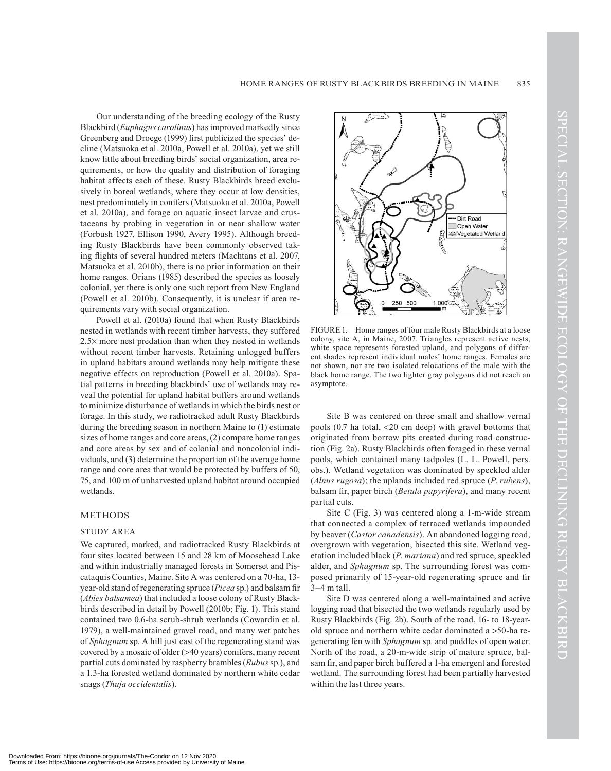Our understanding of the breeding ecology of the Rusty Blackbird (*Euphagus carolinus*) has improved markedly since Greenberg and Droege (1999) first publicized the species' decline (Matsuoka et al. 2010a, Powell et al. 2010a), yet we still know little about breeding birds' social organization, area requirements, or how the quality and distribution of foraging habitat affects each of these. Rusty Blackbirds breed exclusively in boreal wetlands, where they occur at low densities, nest predominately in conifers (Matsuoka et al. 2010a, Powell et al. 2010a), and forage on aquatic insect larvae and crustaceans by probing in vegetation in or near shallow water (Forbush 1927, Ellison 1990, Avery 1995). Although breeding Rusty Blackbirds have been commonly observed taking flights of several hundred meters (Machtans et al. 2007, Matsuoka et al. 2010b), there is no prior information on their home ranges. Orians (1985) described the species as loosely colonial, yet there is only one such report from New England (Powell et al. 2010b). Consequently, it is unclear if area requirements vary with social organization.

Powell et al. (2010a) found that when Rusty Blackbirds nested in wetlands with recent timber harvests, they suffered  $2.5\times$  more nest predation than when they nested in wetlands without recent timber harvests. Retaining unlogged buffers in upland habitats around wetlands may help mitigate these negative effects on reproduction (Powell et al. 2010a). Spatial patterns in breeding blackbirds' use of wetlands may reveal the potential for upland habitat buffers around wetlands to minimize disturbance of wetlands in which the birds nest or forage. In this study, we radiotracked adult Rusty Blackbirds during the breeding season in northern Maine to (1) estimate sizes of home ranges and core areas, (2) compare home ranges and core areas by sex and of colonial and noncolonial individuals, and (3) determine the proportion of the average home range and core area that would be protected by buffers of 50, 75, and 100 m of unharvested upland habitat around occupied wetlands.

#### METHODS

#### STUDY AREA

We captured, marked, and radiotracked Rusty Blackbirds at four sites located between 15 and 28 km of Moosehead Lake and within industrially managed forests in Somerset and Piscataquis Counties, Maine. Site A was centered on a 70-ha, 13 year-old stand of regenerating spruce (*Picea* sp.) and balsam fir (*Abies balsamea*) that included a loose colony of Rusty Blackbirds described in detail by Powell (2010b; Fig. 1). This stand contained two 0.6-ha scrub-shrub wetlands (Cowardin et al. 1979), a well-maintained gravel road, and many wet patches of *Sphagnum* sp. A hill just east of the regenerating stand was covered by a mosaic of older (>40 years) conifers, many recent partial cuts dominated by raspberry brambles (*Rubus* sp.), and a 1.3-ha forested wetland dominated by northern white cedar snags (*Thuja occidentalis*).



FIGURE 1. Home ranges of four male Rusty Blackbirds at a loose colony, site A, in Maine, 2007. Triangles represent active nests, white space represents forested upland, and polygons of different shades represent individual males' home ranges. Females are not shown, nor are two isolated relocations of the male with the black home range. The two lighter gray polygons did not reach an asymptote.

Site B was centered on three small and shallow vernal pools  $(0.7 \text{ ha total}, \textless 20 \text{ cm deep})$  with gravel bottoms that originated from borrow pits created during road construction (Fig. 2a). Rusty Blackbirds often foraged in these vernal pools, which contained many tadpoles (L. L. Powell, pers. obs.). Wetland vegetation was dominated by speckled alder (*Alnus rugosa*); the uplands included red spruce (*P*. *rubens*), balsam fir, paper birch (*Betula papyrifera*), and many recent partial cuts.

Site C (Fig. 3) was centered along a 1-m-wide stream that connected a complex of terraced wetlands impounded by beaver (*Castor canadensis*). An abandoned logging road, overgrown with vegetation, bisected this site. Wetland vegetation included black (*P*. *mariana*) and red spruce, speckled alder, and *Sphagnum* sp. The surrounding forest was composed primarily of 15-year-old regenerating spruce and fir 3–4 m tall.

Site D was centered along a well-maintained and active logging road that bisected the two wetlands regularly used by Rusty Blackbirds (Fig. 2b). South of the road, 16- to 18-yearold spruce and northern white cedar dominated a  $>50$ -ha regenerating fen with *Sphagnum* sp. and puddles of open water. North of the road, a 20-m-wide strip of mature spruce, balsam fir, and paper birch buffered a 1-ha emergent and forested wetland. The surrounding forest had been partially harvested within the last three years.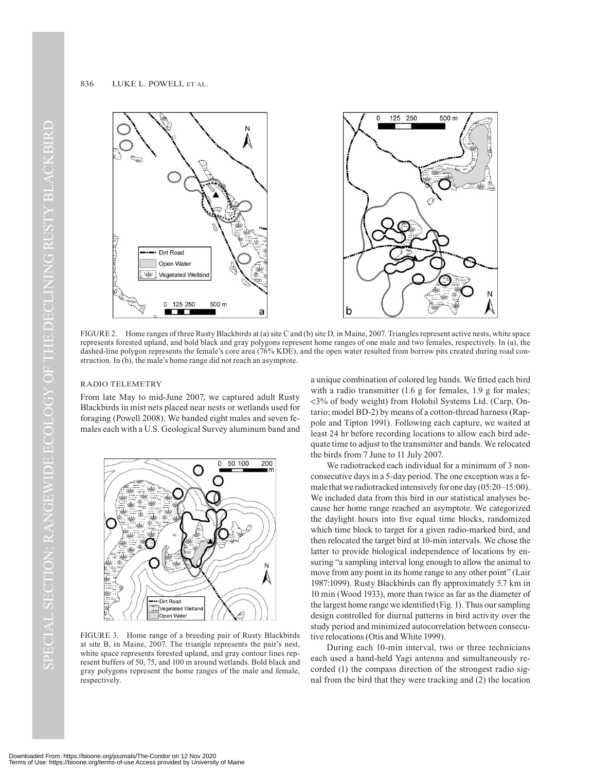#### 836 LUKE L. POWELL ET AL.



FIGURE 2. Home ranges of three Rusty Blackbirds at (a) site C and (b) site D, in Maine, 2007. Triangles represent active nests, white space represents forested upland, and bold black and gray polygons represent home ranges of one male and two females, respectively. In (a), the dashed-line polygon represents the female's core area (76% KDE), and the open water resulted from borrow pits created during road construction. In (b), the male's home range did not reach an asymptote.

#### RADIO TELEMETRY

From late May to mid-June 2007, we captured adult Rusty Blackbirds in mist nets placed near nests or wetlands used for foraging (Powell 2008). We banded eight males and seven females each with a U.S. Geological Survey aluminum band and



FIGURE 3. Home range of a breeding pair of Rusty Blackbirds at site B, in Maine, 2007. The triangle represents the pair's nest, white space represents forested upland, and gray contour lines represent buffers of 50, 75, and 100 m around wetlands. Bold black and gray polygons represent the home ranges of the male and female, respectively.

a unique combination of colored leg bands. We fitted each bird with a radio transmitter (1.6 g for females, 1.9 g for males; 3% of body weight) from Holohil Systems Ltd. (Carp, Ontario; model BD-2) by means of a cotton-thread harness (Rappole and Tipton 1991). Following each capture, we waited at least 24 hr before recording locations to allow each bird adequate time to adjust to the transmitter and bands. We relocated the birds from 7 June to 11 July 2007.

We radiotracked each individual for a minimum of 3 nonconsecutive days in a 5-day period. The one exception was a female that we radiotracked intensively for one day (05:20–15:00). We included data from this bird in our statistical analyses because her home range reached an asymptote. We categorized the daylight hours into five equal time blocks, randomized which time block to target for a given radio-marked bird, and then relocated the target bird at 10-min intervals. We chose the latter to provide biological independence of locations by ensuring "a sampling interval long enough to allow the animal to move from any point in its home range to any other point" (Lair 1987:1099). Rusty Blackbirds can fly approximately 5.7 km in 10 min (Wood 1933), more than twice as far as the diameter of the largest home range we identified (Fig. 1). Thus our sampling design controlled for diurnal patterns in bird activity over the study period and minimized autocorrelation between consecutive relocations (Otis and White 1999).

During each 10-min interval, two or three technicians each used a hand-held Yagi antenna and simultaneously recorded (1) the compass direction of the strongest radio signal from the bird that they were tracking and (2) the location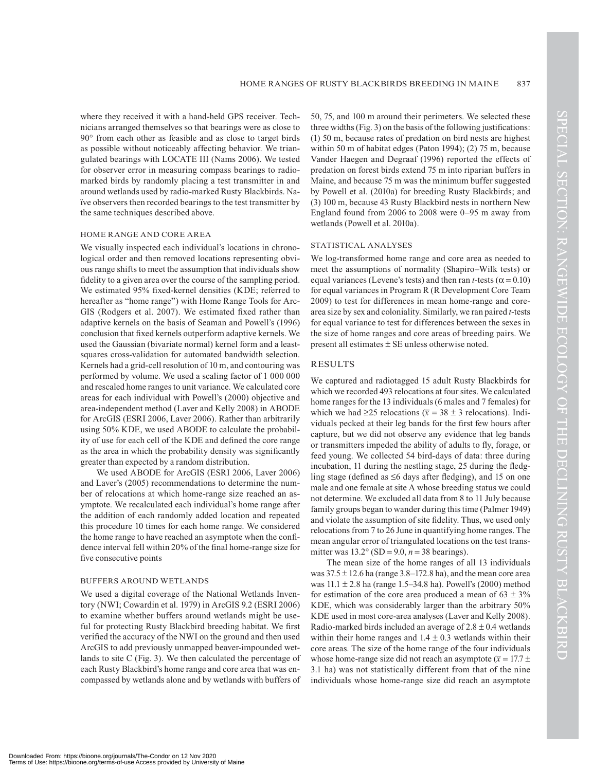where they received it with a hand-held GPS receiver. Technicians arranged themselves so that bearings were as close to 90° from each other as feasible and as close to target birds as possible without noticeably affecting behavior. We triangulated bearings with LOCATE III (Nams 2006). We tested for observer error in measuring compass bearings to radiomarked birds by randomly placing a test transmitter in and around wetlands used by radio-marked Rusty Blackbirds. Naïve observers then recorded bearings to the test transmitter by the same techniques described above.

# HOME RANGE AND CORE AREA

We visually inspected each individual's locations in chronological order and then removed locations representing obvious range shifts to meet the assumption that individuals show fidelity to a given area over the course of the sampling period. We estimated 95% fixed-kernel densities (KDE; referred to hereafter as "home range") with Home Range Tools for Arc-GIS (Rodgers et al. 2007). We estimated fixed rather than adaptive kernels on the basis of Seaman and Powell's (1996) conclusion that fixed kernels outperform adaptive kernels. We used the Gaussian (bivariate normal) kernel form and a leastsquares cross-validation for automated bandwidth selection. Kernels had a grid-cell resolution of 10 m, and contouring was performed by volume. We used a scaling factor of 1 000 000 and rescaled home ranges to unit variance. We calculated core areas for each individual with Powell's (2000) objective and area-independent method (Laver and Kelly 2008) in ABODE for ArcGIS (ESRI 2006, Laver 2006). Rather than arbitrarily using 50% KDE, we used ABODE to calculate the probability of use for each cell of the KDE and defined the core range as the area in which the probability density was significantly greater than expected by a random distribution.

We used ABODE for ArcGIS (ESRI 2006, Laver 2006) and Laver's (2005) recommendations to determine the number of relocations at which home-range size reached an asymptote. We recalculated each individual's home range after the addition of each randomly added location and repeated this procedure 10 times for each home range. We considered the home range to have reached an asymptote when the confidence interval fell within 20% of the final home-range size for five consecutive points

# BUFFERS AROUND WETLANDS

We used a digital coverage of the National Wetlands Inventory (NWI; Cowardin et al. 1979) in ArcGIS 9.2 (ESRI 2006) to examine whether buffers around wetlands might be useful for protecting Rusty Blackbird breeding habitat. We first verified the accuracy of the NWI on the ground and then used ArcGIS to add previously unmapped beaver-impounded wetlands to site C (Fig. 3). We then calculated the percentage of each Rusty Blackbird's home range and core area that was encompassed by wetlands alone and by wetlands with buffers of

50, 75, and 100 m around their perimeters. We selected these three widths (Fig. 3) on the basis of the following justifications: (1) 50 m, because rates of predation on bird nests are highest within 50 m of habitat edges (Paton 1994); (2) 75 m, because Vander Haegen and Degraaf (1996) reported the effects of predation on forest birds extend 75 m into riparian buffers in Maine, and because 75 m was the minimum buffer suggested by Powell et al. (2010a) for breeding Rusty Blackbirds; and (3) 100 m, because 43 Rusty Blackbird nests in northern New England found from 2006 to 2008 were 0–95 m away from wetlands (Powell et al. 2010a).

# STATISTICAL ANALYSES

We log-transformed home range and core area as needed to meet the assumptions of normality (Shapiro–Wilk tests) or equal variances (Levene's tests) and then ran *t*-tests ( $\alpha$  = 0.10) for equal variances in Program R (R Development Core Team 2009) to test for differences in mean home-range and corearea size by sex and coloniality. Similarly, we ran paired *t*-tests for equal variance to test for differences between the sexes in the size of home ranges and core areas of breeding pairs. We present all estimates  $\pm$  SE unless otherwise noted.

# RESULTS

We captured and radiotagged 15 adult Rusty Blackbirds for which we recorded 493 relocations at four sites. We calculated home ranges for the 13 individuals (6 males and 7 females) for which we had  $\geq 25$  relocations ( $\bar{x} = 38 \pm 3$  relocations). Individuals pecked at their leg bands for the first few hours after capture, but we did not observe any evidence that leg bands or transmitters impeded the ability of adults to fly, forage, or feed young. We collected 54 bird-days of data: three during incubation, 11 during the nestling stage, 25 during the fledgling stage (defined as  $\leq 6$  days after fledging), and 15 on one male and one female at site A whose breeding status we could not determine. We excluded all data from 8 to 11 July because family groups began to wander during this time (Palmer 1949) and violate the assumption of site fidelity. Thus, we used only relocations from 7 to 26 June in quantifying home ranges. The mean angular error of triangulated locations on the test transmitter was  $13.2^\circ$  (SD = 9.0,  $n = 38$  bearings).

The mean size of the home ranges of all 13 individuals was  $37.5 \pm 12.6$  ha (range 3.8–172.8 ha), and the mean core area was  $11.1 \pm 2.8$  ha (range 1.5–34.8 ha). Powell's (2000) method for estimation of the core area produced a mean of  $63 \pm 3\%$ KDE, which was considerably larger than the arbitrary 50% KDE used in most core-area analyses (Laver and Kelly 2008). Radio-marked birds included an average of  $2.8 \pm 0.4$  wetlands within their home ranges and  $1.4 \pm 0.3$  wetlands within their core areas. The size of the home range of the four individuals whose home-range size did not reach an asymptote ( $\bar{x}$  = 17.7  $\pm$ 3.1 ha) was not statistically different from that of the nine individuals whose home-range size did reach an asymptote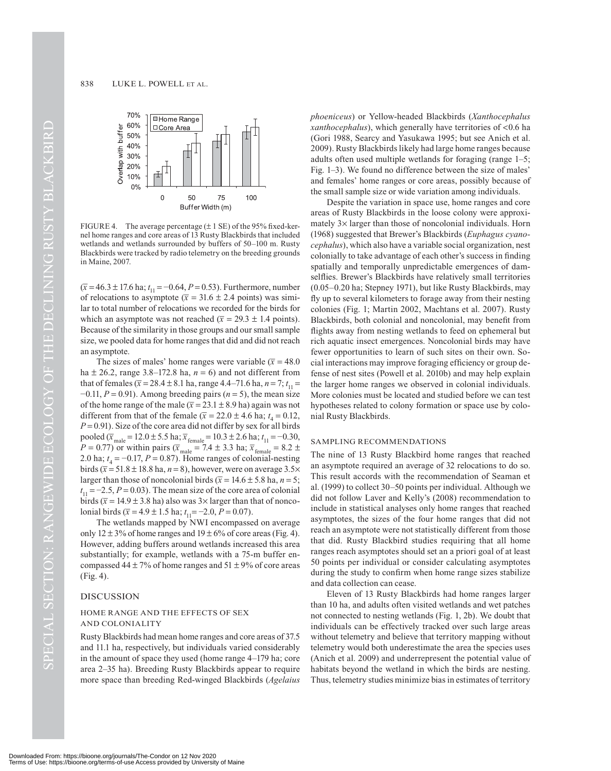

FIGURE 4. The average percentage  $(\pm 1 \text{ SE})$  of the 95% fixed-kernel home ranges and core areas of 13 Rusty Blackbirds that included wetlands and wetlands surrounded by buffers of 50–100 m. Rusty Blackbirds were tracked by radio telemetry on the breeding grounds in Maine, 2007.

 $(\bar{x} = 46.3 \pm 17.6 \text{ ha}; t_{11} = -0.64, P = 0.53)$ . Furthermore, number of relocations to asymptote  $(\bar{x} = 31.6 \pm 2.4 \text{ points})$  was similar to total number of relocations we recorded for the birds for which an asymptote was not reached  $(\bar{x} = 29.3 \pm 1.4 \text{ points})$ . Because of the similarity in those groups and our small sample size, we pooled data for home ranges that did and did not reach an asymptote.

The sizes of males' home ranges were variable ( $\bar{x}$  = 48.0) ha  $\pm$  26.2, range 3.8–172.8 ha,  $n = 6$ ) and not different from that of females ( $\bar{x} = 28.4 \pm 8.1$  ha, range 4.4–71.6 ha,  $n = 7$ ;  $t_{11} =$ −0.11, *P* = 0.91). Among breeding pairs (*n* = 5), the mean size of the home range of the male ( $\bar{x} = 23.1 \pm 8.9$  ha) again was not of the nome range of the final  $(x - 23.1 \pm 8.9 \text{ rad})$  again was not different from that of the female  $(\bar{x} = 22.0 \pm 4.6 \text{ ha})$ ;  $t_4 = 0.12$ ,  $P = 0.91$ ). Size of the core area did not differ by sex for all birds pooled ( $\bar{x}_{male} = 12.0 \pm 5.5$  ha;  $\bar{x}_{female} = 10.3 \pm 2.6$  ha;  $t_{11} = -0.30$ , pooled (*x*<sub>male</sub> – 12.0 ± 3.3 ha, *x*<sub>female</sub> – 10.3 ± 2.0 ha,  $i_{11}$  – 0.30,  $P = 0.77$ ) or within pairs ( $\bar{x}_{male} = 7.4 \pm 3.3$  ha;  $\bar{x}_{female} = 8.2 \pm 1.0$ 2.0 ha;  $t_4 = -0.17$ ,  $P = 0.87$ ). Home ranges of colonial-nesting birds ( $\bar{x}$  = 51.8  $\pm$  18.8 ha, *n* = 8), however, were on average 3.5 $\times$ larger than those of noncolonial birds ( $\bar{x}$  = 14.6  $\pm$  5.8 ha, *n* = 5;  $t_{11} = -2.5$ ,  $P = 0.03$ ). The mean size of the core area of colonial  $t_{11} = 2.3, t = 0.03$ . The mean size of the core area of colonial<br>birds ( $\bar{x} = 14.9 \pm 3.8$  ha) also was 3× larger than that of noncolonial birds ( $\bar{x} = 4.9 \pm 1.5$  ha;  $t_{11} = -2.0$ ,  $P = 0.07$ ).

The wetlands mapped by NWI encompassed on average only  $12 \pm 3\%$  of home ranges and  $19 \pm 6\%$  of core areas (Fig. 4). However, adding buffers around wetlands increased this area substantially; for example, wetlands with a 75-m buffer encompassed  $44 \pm 7\%$  of home ranges and  $51 \pm 9\%$  of core areas (Fig. 4).

#### DISCUSSION

# HOME RANGE AND THE EFFECTS OF SEX AND COLONIALITY

Rusty Blackbirds had mean home ranges and core areas of 37.5 and 11.1 ha, respectively, but individuals varied considerably in the amount of space they used (home range 4–179 ha; core area 2–35 ha). Breeding Rusty Blackbirds appear to require more space than breeding Red-winged Blackbirds (*Agelaius*  *phoeniceus*) or Yellow-headed Blackbirds (*Xanthocephalus xanthocephalus*), which generally have territories of <0.6 ha (Gori 1988, Searcy and Yasukawa 1995; but see Anich et al. 2009). Rusty Blackbirds likely had large home ranges because adults often used multiple wetlands for foraging (range 1–5; Fig. 1–3). We found no difference between the size of males' and females' home ranges or core areas, possibly because of the small sample size or wide variation among individuals.

Despite the variation in space use, home ranges and core areas of Rusty Blackbirds in the loose colony were approximately  $3\times$  larger than those of noncolonial individuals. Horn (1968) suggested that Brewer's Blackbirds (*Euphagus cyanocephalus*), which also have a variable social organization, nest colonially to take advantage of each other's success in finding spatially and temporally unpredictable emergences of damselflies. Brewer's Blackbirds have relatively small territories (0.05–0.20 ha; Stepney 1971), but like Rusty Blackbirds, may fly up to several kilometers to forage away from their nesting colonies (Fig. 1; Martin 2002, Machtans et al. 2007). Rusty Blackbirds, both colonial and noncolonial, may benefit from flights away from nesting wetlands to feed on ephemeral but rich aquatic insect emergences. Noncolonial birds may have fewer opportunities to learn of such sites on their own. Social interactions may improve foraging efficiency or group defense of nest sites (Powell et al. 2010b) and may help explain the larger home ranges we observed in colonial individuals. More colonies must be located and studied before we can test hypotheses related to colony formation or space use by colonial Rusty Blackbirds.

# SAMPLING RECOMMENDATIONS

The nine of 13 Rusty Blackbird home ranges that reached an asymptote required an average of 32 relocations to do so. This result accords with the recommendation of Seaman et al. (1999) to collect 30–50 points per individual. Although we did not follow Laver and Kelly's (2008) recommendation to include in statistical analyses only home ranges that reached asymptotes, the sizes of the four home ranges that did not reach an asymptote were not statistically different from those that did. Rusty Blackbird studies requiring that all home ranges reach asymptotes should set an a priori goal of at least 50 points per individual or consider calculating asymptotes during the study to confirm when home range sizes stabilize and data collection can cease.

Eleven of 13 Rusty Blackbirds had home ranges larger than 10 ha, and adults often visited wetlands and wet patches not connected to nesting wetlands (Fig. 1, 2b). We doubt that individuals can be effectively tracked over such large areas without telemetry and believe that territory mapping without telemetry would both underestimate the area the species uses (Anich et al. 2009) and underrepresent the potential value of habitats beyond the wetland in which the birds are nesting. Thus, telemetry studies minimize bias in estimates of territory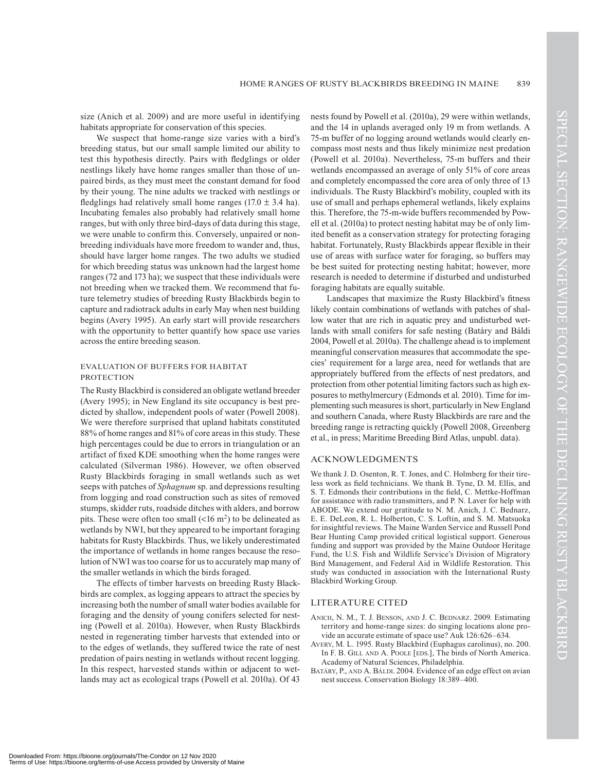size (Anich et al. 2009) and are more useful in identifying habitats appropriate for conservation of this species.

We suspect that home-range size varies with a bird's breeding status, but our small sample limited our ability to test this hypothesis directly. Pairs with fledglings or older nestlings likely have home ranges smaller than those of unpaired birds, as they must meet the constant demand for food by their young. The nine adults we tracked with nestlings or fledglings had relatively small home ranges (17.0  $\pm$  3.4 ha). Incubating females also probably had relatively small home ranges, but with only three bird-days of data during this stage, we were unable to confirm this. Conversely, unpaired or nonbreeding individuals have more freedom to wander and, thus, should have larger home ranges. The two adults we studied for which breeding status was unknown had the largest home ranges (72 and 173 ha); we suspect that these individuals were not breeding when we tracked them. We recommend that future telemetry studies of breeding Rusty Blackbirds begin to capture and radiotrack adults in early May when nest building begins (Avery 1995). An early start will provide researchers with the opportunity to better quantify how space use varies across the entire breeding season.

# EVALUATION OF BUFFERS FOR HABITAT PROTECTION

The Rusty Blackbird is considered an obligate wetland breeder (Avery 1995); in New England its site occupancy is best predicted by shallow, independent pools of water (Powell 2008). We were therefore surprised that upland habitats constituted 88% of home ranges and 81% of core areas in this study. These high percentages could be due to errors in triangulation or an artifact of fixed KDE smoothing when the home ranges were calculated (Silverman 1986). However, we often observed Rusty Blackbirds foraging in small wetlands such as wet seeps with patches of *Sphagnum* sp. and depressions resulting from logging and road construction such as sites of removed stumps, skidder ruts, roadside ditches with alders, and borrow pits. These were often too small  $(< 16 \text{ m}^2)$  to be delineated as wetlands by NWI, but they appeared to be important foraging habitats for Rusty Blackbirds. Thus, we likely underestimated the importance of wetlands in home ranges because the resolution of NWI was too coarse for us to accurately map many of the smaller wetlands in which the birds foraged.

The effects of timber harvests on breeding Rusty Blackbirds are complex, as logging appears to attract the species by increasing both the number of small water bodies available for foraging and the density of young conifers selected for nesting (Powell et al. 2010a). However, when Rusty Blackbirds nested in regenerating timber harvests that extended into or to the edges of wetlands, they suffered twice the rate of nest predation of pairs nesting in wetlands without recent logging. In this respect, harvested stands within or adjacent to wetlands may act as ecological traps (Powell et al. 2010a). Of 43

nests found by Powell et al. (2010a), 29 were within wetlands, and the 14 in uplands averaged only 19 m from wetlands. A 75-m buffer of no logging around wetlands would clearly encompass most nests and thus likely minimize nest predation (Powell et al. 2010a). Nevertheless, 75-m buffers and their wetlands encompassed an average of only 51% of core areas and completely encompassed the core area of only three of 13 individuals. The Rusty Blackbird's mobility, coupled with its use of small and perhaps ephemeral wetlands, likely explains this. Therefore, the 75-m-wide buffers recommended by Powell et al. (2010a) to protect nesting habitat may be of only limited benefit as a conservation strategy for protecting foraging habitat. Fortunately, Rusty Blackbirds appear flexible in their use of areas with surface water for foraging, so buffers may be best suited for protecting nesting habitat; however, more research is needed to determine if disturbed and undisturbed foraging habitats are equally suitable.

Landscapes that maximize the Rusty Blackbird's fitness likely contain combinations of wetlands with patches of shallow water that are rich in aquatic prey and undisturbed wetlands with small conifers for safe nesting (Batáry and Báldi 2004, Powell et al. 2010a). The challenge ahead is to implement meaningful conservation measures that accommodate the species' requirement for a large area, need for wetlands that are appropriately buffered from the effects of nest predators, and protection from other potential limiting factors such as high exposures to methylmercury (Edmonds et al. 2010). Time for implementing such measures is short, particularly in New England and southern Canada, where Rusty Blackbirds are rare and the breeding range is retracting quickly (Powell 2008, Greenberg et al., in press; Maritime Breeding Bird Atlas, unpubl. data).

# ACKNOWLEDGMENTS

We thank J. D. Osenton, R. T. Jones, and C. Holmberg for their tireless work as field technicians. We thank B. Tyne, D. M. Ellis, and S. T. Edmonds their contributions in the field, C. Mettke-Hoffman for assistance with radio transmitters, and P. N. Laver for help with ABODE. We extend our gratitude to N. M. Anich, J. C. Bednarz, E. E. DeLeon, R. L. Holberton, C. S. Loftin, and S. M. Matsuoka for insightful reviews. The Maine Warden Service and Russell Pond Bear Hunting Camp provided critical logistical support. Generous funding and support was provided by the Maine Outdoor Heritage Fund, the U.S. Fish and Wildlife Service's Division of Migratory Bird Management, and Federal Aid in Wildlife Restoration. This study was conducted in association with the International Rusty Blackbird Working Group.

# LITERATURE CITED

- ANICH, N. M., T. J. BENSON, AND J. C. BEDNARZ. 2009. Estimating territory and home-range sizes: do singing locations alone provide an accurate estimate of space use? Auk 126:626–634.
- AVERY, M. L. 1995. Rusty Blackbird (Euphagus carolinus), no. 200. In F. B. GILL AND A. POOLE [EDS.], The birds of North America. Academy of Natural Sciences, Philadelphia.
- BATÁRY, P., AND A. BÁLDI. 2004. Evidence of an edge effect on avian nest success. Conservation Biology 18:389–400.